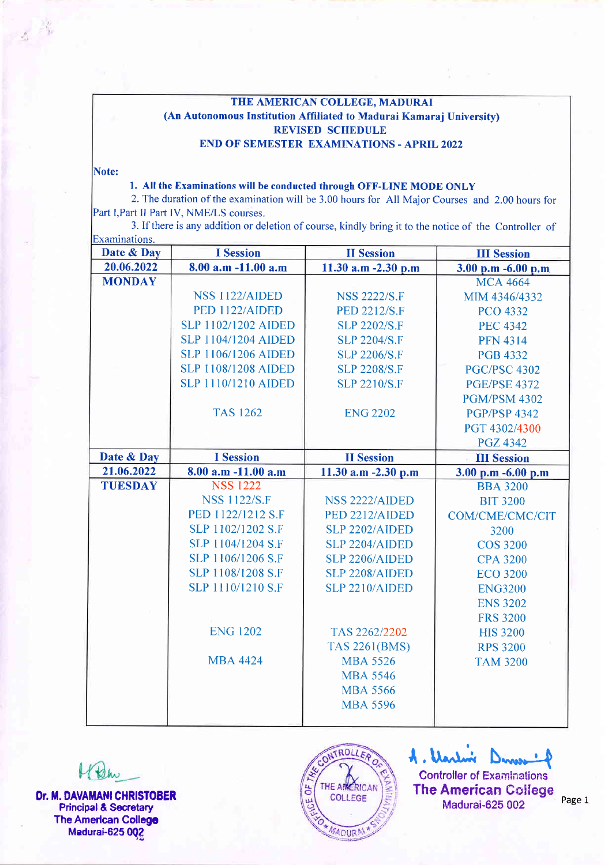## THE AMERICAN COLLEGE. MADURAI (An Autonomous Institution Affiliated to Madurai Kamaraj University) REVISED SCHEDULE END OF SEMESTER EXAMINATIONS - APRIL2OZ2

Note:

## 1. All the Examinations will be conducted through OFF-LINE MODE ONLY

2. The duration of the examination will be 3.00 hours for All Maior Courses and 2.00 hours for Part I, Part II Part IV, NME/LS courses.

3. If there is any addition or deletion of course, kindly bring it to the notice of the Controller of Examinations.

| Date & Day     | <b>I</b> Session           | <b>II</b> Session     | <b>III Session</b>  |
|----------------|----------------------------|-----------------------|---------------------|
| 20.06.2022     | 8.00 a.m -11.00 a.m        | 11.30 a.m -2.30 p.m   | 3.00 p.m -6.00 p.m  |
| <b>MONDAY</b>  |                            |                       | <b>MCA 4664</b>     |
|                | NSS 1122/AIDED             | <b>NSS 2222/S.F</b>   | MIM 4346/4332       |
|                | PED 1122/AIDED             | <b>PED 2212/S.F</b>   | <b>PCO 4332</b>     |
|                | <b>SLP 1102/1202 AIDED</b> | <b>SLP 2202/S.F</b>   | <b>PEC 4342</b>     |
|                | <b>SLP 1104/1204 AIDED</b> | <b>SLP 2204/S.F</b>   | <b>PFN 4314</b>     |
|                | <b>SLP 1106/1206 AIDED</b> | <b>SLP 2206/S.F</b>   | <b>PGB 4332</b>     |
|                | <b>SLP 1108/1208 AIDED</b> | <b>SLP 2208/S.F</b>   | <b>PGC/PSC 4302</b> |
|                | <b>SLP 1110/1210 AIDED</b> | <b>SLP 2210/S.F</b>   | <b>PGE/PSE 4372</b> |
|                |                            |                       | <b>PGM/PSM 4302</b> |
|                | <b>TAS 1262</b>            | <b>ENG 2202</b>       | <b>PGP/PSP 4342</b> |
|                |                            |                       | PGT 4302/4300       |
|                |                            |                       | <b>PGZ 4342</b>     |
| Date & Day     | <b>I</b> Session           | <b>II</b> Session     | <b>III</b> Session  |
| 21.06.2022     | 8.00 a.m -11.00 a.m        | 11.30 a.m -2.30 p.m   | 3.00 p.m -6.00 p.m  |
| <b>TUESDAY</b> | <b>NSS 1222</b>            |                       | <b>BBA 3200</b>     |
|                | <b>NSS 1122/S.F</b>        | NSS 2222/AIDED        | <b>BIT 3200</b>     |
|                | PED 1122/1212 S.F          | PED 2212/AIDED        | COM/CME/CMC/CIT     |
|                | SLP 1102/1202 S.F          | SLP 2202/AIDED        | 3200                |
|                | SLP 1104/1204 S.F          | <b>SLP 2204/AIDED</b> | <b>COS 3200</b>     |
|                | SLP 1106/1206 S.F          | <b>SLP 2206/AIDED</b> | <b>CPA 3200</b>     |
|                | SLP 1108/1208 S.F          | <b>SLP 2208/AIDED</b> | <b>ECO 3200</b>     |
|                | SLP 1110/1210 S.F          | SLP 2210/AIDED        | <b>ENG3200</b>      |
|                |                            |                       | <b>ENS 3202</b>     |
|                |                            |                       | <b>FRS 3200</b>     |
|                | <b>ENG 1202</b>            | TAS 2262/2202         | <b>HIS 3200</b>     |
|                |                            | <b>TAS 2261(BMS)</b>  | <b>RPS 3200</b>     |
|                | <b>MBA 4424</b>            | <b>MBA 5526</b>       | <b>TAM 3200</b>     |
|                |                            | <b>MBA 5546</b>       |                     |
|                |                            | <b>MBA 5566</b>       |                     |
|                |                            | <b>MBA 5596</b>       |                     |
|                |                            |                       |                     |

Well Dr. M. DAVAMANI CHRISTOBER Principal& Secretary **The American College** Madurai-625 002



A. Uarlin Dines of Controller of Examinations **The American College** Madurai-625 002 Page 1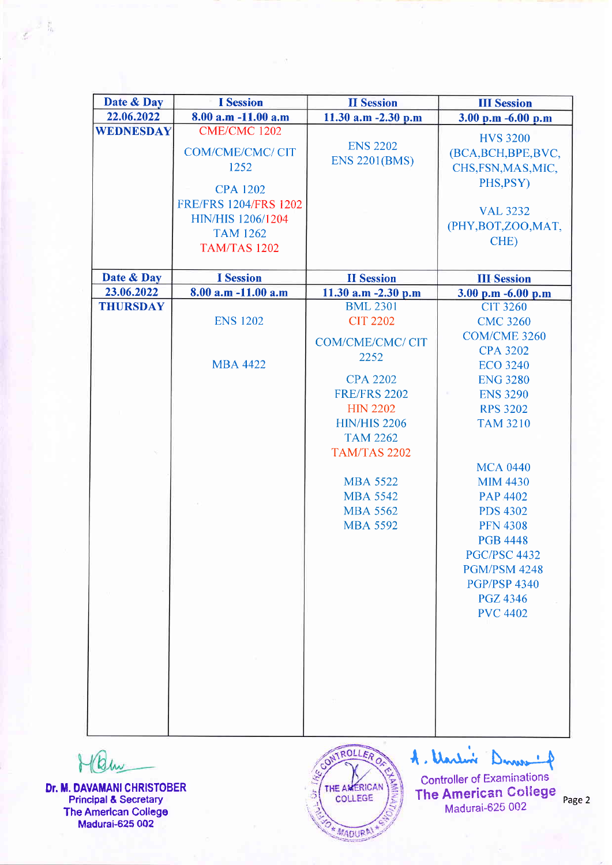| Date & Day                    | <b>I</b> Session             | <b>II Session</b>                        | <b>III Session</b>                     |
|-------------------------------|------------------------------|------------------------------------------|----------------------------------------|
| 22.06.2022                    | 8.00 a.m -11.00 a.m          | 11.30 a.m $-2.30$ p.m                    | 3.00 p.m -6.00 p.m                     |
| <b>WEDNESDAY</b>              | <b>CME/CMC 1202</b>          |                                          | <b>HVS 3200</b>                        |
|                               | <b>COM/CME/CMC/ CIT</b>      | <b>ENS 2202</b>                          | (BCA, BCH, BPE, BVC,                   |
|                               | 1252                         | <b>ENS 2201(BMS)</b>                     | CHS, FSN, MAS, MIC,                    |
|                               |                              |                                          | PHS, PSY)                              |
|                               | <b>CPA 1202</b>              |                                          |                                        |
|                               | <b>FRE/FRS 1204/FRS 1202</b> |                                          | <b>VAL 3232</b>                        |
|                               | HIN/HIS 1206/1204            |                                          | (PHY, BOT, ZOO, MAT,                   |
|                               | <b>TAM 1262</b>              |                                          | CHE)                                   |
|                               | <b>TAM/TAS 1202</b>          |                                          |                                        |
|                               |                              |                                          |                                        |
| Date & Day                    | <b>I</b> Session             | <b>II</b> Session                        | <b>III Session</b>                     |
| 23.06.2022<br><b>THURSDAY</b> | 8.00 a.m -11.00 a.m          | 11.30 a.m $-2.30$ p.m<br><b>BML 2301</b> | 3.00 p.m -6.00 p.m                     |
|                               | <b>ENS 1202</b>              | <b>CIT 2202</b>                          | <b>CIT 3260</b>                        |
|                               |                              |                                          | <b>CMC 3260</b>                        |
|                               |                              | <b>COM/CME/CMC/ CIT</b>                  | <b>COM/CME 3260</b><br><b>CPA 3202</b> |
|                               | <b>MBA 4422</b>              | 2252                                     | <b>ECO 3240</b>                        |
|                               |                              | <b>CPA 2202</b>                          | <b>ENG 3280</b>                        |
|                               |                              | <b>FRE/FRS 2202</b>                      | <b>ENS 3290</b>                        |
|                               |                              | <b>HIN 2202</b>                          | <b>RPS 3202</b>                        |
|                               |                              | <b>HIN/HIS 2206</b>                      | <b>TAM 3210</b>                        |
|                               |                              | <b>TAM 2262</b>                          |                                        |
|                               |                              | <b>TAM/TAS 2202</b>                      |                                        |
|                               |                              |                                          | <b>MCA 0440</b>                        |
|                               |                              | <b>MBA 5522</b>                          | <b>MIM 4430</b>                        |
|                               |                              | <b>MBA 5542</b>                          | <b>PAP 4402</b>                        |
|                               |                              | <b>MBA 5562</b>                          | <b>PDS 4302</b>                        |
|                               |                              | <b>MBA 5592</b>                          | <b>PFN 4308</b>                        |
|                               |                              |                                          | <b>PGB 4448</b>                        |
|                               |                              |                                          | <b>PGC/PSC 4432</b>                    |
|                               |                              |                                          | <b>PGM/PSM 4248</b>                    |
|                               |                              |                                          | <b>PGP/PSP 4340</b>                    |
|                               |                              |                                          | <b>PGZ 4346</b>                        |
|                               |                              |                                          | <b>PVC 4402</b>                        |
|                               |                              |                                          |                                        |
|                               |                              |                                          |                                        |
|                               |                              |                                          |                                        |
|                               |                              |                                          |                                        |
|                               |                              |                                          |                                        |
|                               |                              |                                          |                                        |
|                               |                              |                                          |                                        |
|                               |                              |                                          |                                        |

MQw

Dr. M. DAVAMANI CHRISTOBER Principal& Secretary The Amerlcan College Madurai-625 002



4. Varlin Dume 4

Controller of Examinations The American College Madurai-625 002

Page 2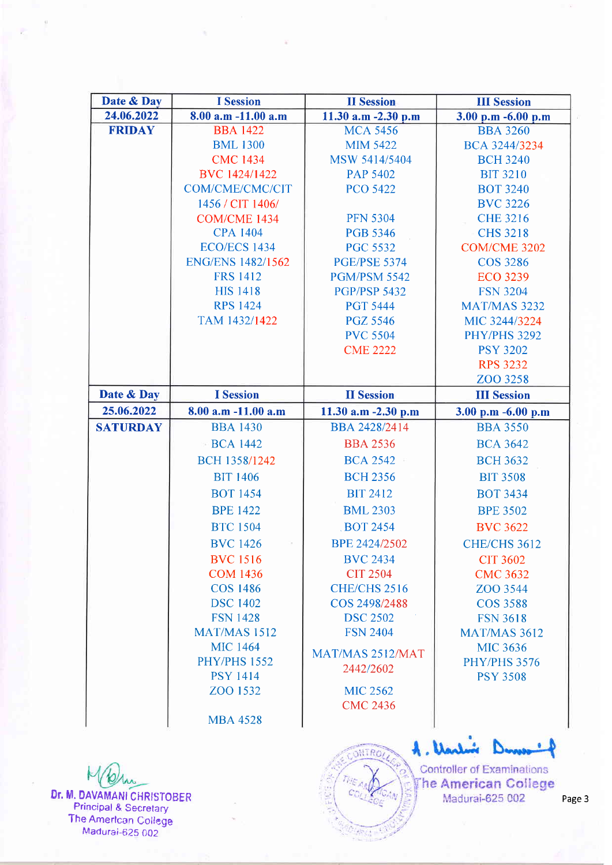| Date & Day      | <b>I</b> Session         | <b>II</b> Session                  | <b>III Session</b>                 |
|-----------------|--------------------------|------------------------------------|------------------------------------|
| 24.06.2022      | $8.00$ a.m $-11.00$ a.m  | 11.30 a.m -2.30 p.m                | 3.00 p.m -6.00 p.m                 |
| <b>FRIDAY</b>   | <b>BBA 1422</b>          | <b>MCA 5456</b>                    | <b>BBA 3260</b>                    |
|                 | <b>BML 1300</b>          | <b>MIM 5422</b>                    | BCA 3244/3234                      |
|                 | <b>CMC 1434</b>          | MSW 5414/5404                      | <b>BCH 3240</b>                    |
|                 | BVC 1424/1422            | <b>PAP 5402</b>                    | <b>BIT 3210</b>                    |
|                 | COM/CME/CMC/CIT          | <b>PCO 5422</b>                    | <b>BOT 3240</b>                    |
|                 | 1456 / CIT 1406/         |                                    | <b>BVC 3226</b>                    |
|                 | COM/CME 1434             | <b>PFN 5304</b>                    | <b>CHE 3216</b>                    |
|                 | <b>CPA 1404</b>          | <b>PGB 5346</b>                    | <b>CHS 3218</b>                    |
|                 | <b>ECO/ECS 1434</b>      | <b>PGC 5532</b>                    | COM/CME 3202                       |
|                 | <b>ENG/ENS 1482/1562</b> | <b>PGE/PSE 5374</b>                | <b>COS 3286</b>                    |
|                 | <b>FRS 1412</b>          | <b>PGM/PSM 5542</b>                | <b>ECO 3239</b>                    |
|                 | <b>HIS 1418</b>          | <b>PGP/PSP 5432</b>                | <b>FSN 3204</b>                    |
|                 | <b>RPS 1424</b>          | <b>PGT 5444</b>                    | <b>MAT/MAS 3232</b>                |
|                 | TAM 1432/1422            | <b>PGZ 5546</b>                    | MIC 3244/3224                      |
|                 |                          | <b>PVC 5504</b>                    | <b>PHY/PHS 3292</b>                |
|                 |                          | <b>CME 2222</b>                    | <b>PSY 3202</b>                    |
|                 |                          |                                    | <b>RPS 3232</b>                    |
|                 |                          |                                    | ZOO 3258                           |
| Date & Day      | <b>I</b> Session         | <b>II</b> Session                  | <b>III</b> Session                 |
| 25.06.2022      | 8.00 a.m -11.00 a.m      | 11.30 a.m -2.30 p.m                | 3.00 p.m -6.00 p.m                 |
| <b>SATURDAY</b> | <b>BBA 1430</b>          | BBA 2428/2414                      | <b>BBA 3550</b>                    |
|                 | <b>BCA 1442</b>          | <b>BBA 2536</b>                    | <b>BCA 3642</b>                    |
|                 | BCH 1358/1242            | <b>BCA 2542</b>                    | <b>BCH 3632</b>                    |
|                 | <b>BIT 1406</b>          | <b>BCH 2356</b>                    | <b>BIT 3508</b>                    |
|                 | <b>BOT 1454</b>          | <b>BIT 2412</b>                    | <b>BOT 3434</b>                    |
|                 | <b>BPE 1422</b>          | <b>BML 2303</b>                    | <b>BPE 3502</b>                    |
|                 | <b>BTC 1504</b>          | <b>BOT 2454</b>                    | <b>BVC 3622</b>                    |
|                 | <b>BVC</b> 1426          | BPE 2424/2502                      | <b>CHE/CHS 3612</b>                |
|                 | <b>BVC</b> 1516          |                                    |                                    |
|                 | <b>COM 1436</b>          | <b>BVC 2434</b><br><b>CIT 2504</b> | <b>CIT 3602</b><br><b>CMC 3632</b> |
|                 | <b>COS 1486</b>          | <b>CHE/CHS 2516</b>                | ZOO 3544                           |
|                 | <b>DSC 1402</b>          | COS 2498/2488                      | <b>COS 3588</b>                    |
|                 | <b>FSN 1428</b>          | <b>DSC 2502</b>                    | <b>FSN 3618</b>                    |
|                 | <b>MAT/MAS 1512</b>      | <b>FSN 2404</b>                    | <b>MAT/MAS 3612</b>                |
|                 | <b>MIC 1464</b>          |                                    | <b>MIC 3636</b>                    |
|                 | <b>PHY/PHS 1552</b>      | MAT/MAS 2512/MAT                   | <b>PHY/PHS 3576</b>                |
|                 | <b>PSY 1414</b>          | 2442/2602                          | <b>PSY 3508</b>                    |
|                 | ZOO 1532                 | <b>MIC 2562</b>                    |                                    |
|                 |                          | <b>CMC 2436</b>                    |                                    |
|                 | <b>MBA 4528</b>          |                                    |                                    |
|                 |                          |                                    |                                    |

Dr. M. DAVAMANI CHRISTOBER Principal & Secretary The Amerfcan Coilege Madurai-625 002

A. Varlor Denver ⊀

**SNTRO** 

**Controller of Examinations** The American College Madurai-625 002

Page 3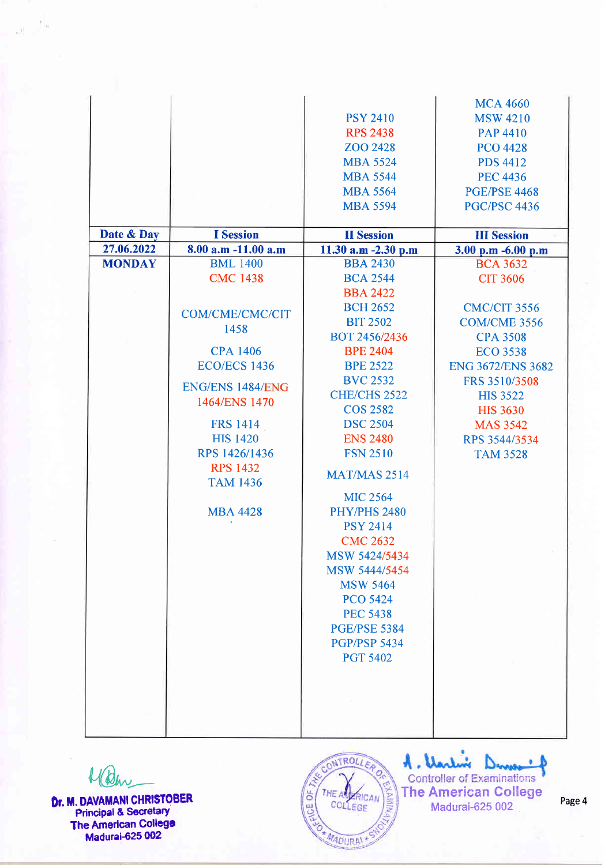|               |                         |                     | <b>MCA 4660</b>          |
|---------------|-------------------------|---------------------|--------------------------|
|               |                         | <b>PSY 2410</b>     | <b>MSW 4210</b>          |
|               |                         | <b>RPS 2438</b>     | <b>PAP 4410</b>          |
|               |                         | ZOO 2428            | <b>PCO 4428</b>          |
|               |                         | <b>MBA 5524</b>     | <b>PDS 4412</b>          |
|               |                         | <b>MBA 5544</b>     | <b>PEC 4436</b>          |
|               |                         | <b>MBA 5564</b>     | <b>PGE/PSE 4468</b>      |
|               |                         | <b>MBA 5594</b>     | <b>PGC/PSC 4436</b>      |
|               |                         |                     |                          |
| Date & Day    | <b>I</b> Session        | <b>II</b> Session   | <b>III Session</b>       |
| 27.06.2022    | 8.00 a.m -11.00 a.m     | 11.30 a.m -2.30 p.m | 3.00 p.m -6.00 p.m       |
| <b>MONDAY</b> | <b>BML</b> 1400         | <b>BBA 2430</b>     | <b>BCA 3632</b>          |
|               | <b>CMC 1438</b>         | <b>BCA 2544</b>     | <b>CIT 3606</b>          |
|               |                         | <b>BBA 2422</b>     |                          |
|               |                         | <b>BCH 2652</b>     | <b>CMC/CIT 3556</b>      |
|               | <b>COM/CME/CMC/CIT</b>  | <b>BIT 2502</b>     | <b>COM/CME 3556</b>      |
|               | 1458                    | BOT 2456/2436       | <b>CPA 3508</b>          |
|               | <b>CPA 1406</b>         | <b>BPE 2404</b>     | <b>ECO 3538</b>          |
|               | <b>ECO/ECS 1436</b>     | <b>BPE 2522</b>     | <b>ENG 3672/ENS 3682</b> |
|               |                         | <b>BVC 2532</b>     | FRS 3510/3508            |
|               | <b>ENG/ENS 1484/ENG</b> | <b>CHE/CHS 2522</b> | <b>HIS 3522</b>          |
|               | 1464/ENS 1470           | <b>COS 2582</b>     | <b>HIS 3630</b>          |
|               | <b>FRS 1414</b>         | <b>DSC 2504</b>     | <b>MAS 3542</b>          |
|               | <b>HIS 1420</b>         | <b>ENS 2480</b>     | RPS 3544/3534            |
|               | RPS 1426/1436           | <b>FSN 2510</b>     | <b>TAM 3528</b>          |
|               | <b>RPS 1432</b>         |                     |                          |
|               | <b>TAM 1436</b>         | <b>MAT/MAS 2514</b> |                          |
|               |                         | <b>MIC 2564</b>     |                          |
|               | <b>MBA 4428</b>         | <b>PHY/PHS 2480</b> |                          |
|               |                         | <b>PSY 2414</b>     |                          |
|               |                         | <b>CMC 2632</b>     |                          |
|               |                         | MSW 5424/5434       |                          |
|               |                         | MSW 5444/5454       |                          |
|               |                         | <b>MSW 5464</b>     |                          |
|               |                         | <b>PCO 5424</b>     |                          |
|               |                         | <b>PEC 5438</b>     |                          |
|               |                         | <b>PGE/PSE 5384</b> |                          |
|               |                         | <b>PGP/PSP 5434</b> |                          |
|               |                         | <b>PGT 5402</b>     |                          |
|               |                         |                     |                          |
|               |                         |                     |                          |
|               |                         |                     |                          |
|               |                         |                     |                          |
|               |                         |                     |                          |

 $U(\beta|_{\mathcal{W}})$ 

 $v_{\infty}$ 

**Dr. M. DAVAMANI CHRISTOBER** Principal & Secretary **The American College** Madurai-625 002



A. Varling Danaus  $\bullet$ 

Controller of Examinations Madurai-625 002 Page 4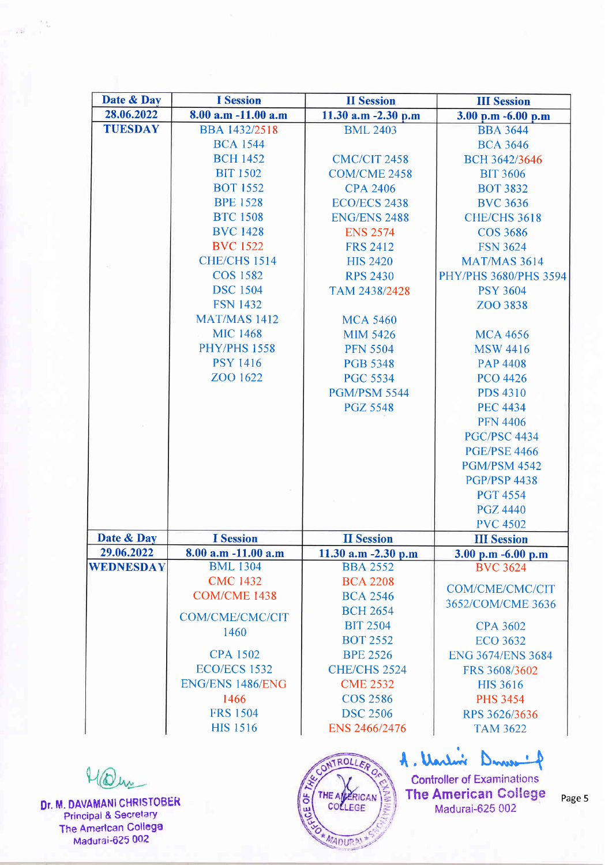| Date & Day       | <b>I</b> Session       | <b>II</b> Session      | <b>III</b> Session                    |
|------------------|------------------------|------------------------|---------------------------------------|
| 28.06.2022       | 8.00 a.m -11.00 a.m    | 11.30 $a.m - 2.30 p.m$ | 3.00 p.m -6.00 p.m                    |
| <b>TUESDAY</b>   | <b>BBA 1432/2518</b>   | <b>BML 2403</b>        | <b>BBA 3644</b>                       |
|                  | <b>BCA 1544</b>        |                        | <b>BCA 3646</b>                       |
|                  | <b>BCH 1452</b>        | <b>CMC/CIT 2458</b>    | BCH 3642/3646                         |
|                  | <b>BIT 1502</b>        | <b>COM/CME 2458</b>    | <b>BIT 3606</b>                       |
|                  | <b>BOT 1552</b>        | <b>CPA 2406</b>        | <b>BOT 3832</b>                       |
|                  | <b>BPE 1528</b>        | <b>ECO/ECS 2438</b>    | <b>BVC 3636</b>                       |
|                  | <b>BTC 1508</b>        | <b>ENG/ENS 2488</b>    | <b>CHE/CHS 3618</b>                   |
|                  | <b>BVC 1428</b>        | <b>ENS 2574</b>        | <b>COS 3686</b>                       |
|                  | <b>BVC</b> 1522        | <b>FRS 2412</b>        | <b>FSN 3624</b>                       |
|                  | <b>CHE/CHS 1514</b>    | <b>HIS 2420</b>        | <b>MAT/MAS 3614</b>                   |
|                  | <b>COS 1582</b>        | <b>RPS 2430</b>        | PHY/PHS 3680/PHS 3594                 |
|                  | <b>DSC</b> 1504        | TAM 2438/2428          | <b>PSY 3604</b>                       |
|                  | <b>FSN 1432</b>        |                        | ZOO 3838                              |
|                  | <b>MAT/MAS 1412</b>    | <b>MCA 5460</b>        |                                       |
|                  | <b>MIC 1468</b>        | <b>MIM 5426</b>        | <b>MCA 4656</b>                       |
|                  | <b>PHY/PHS 1558</b>    | <b>PFN 5504</b>        | <b>MSW 4416</b>                       |
|                  | <b>PSY 1416</b>        | <b>PGB 5348</b>        | <b>PAP 4408</b>                       |
|                  | ZOO 1622               | <b>PGC 5534</b>        | <b>PCO 4426</b>                       |
|                  |                        | <b>PGM/PSM 5544</b>    | <b>PDS 4310</b>                       |
|                  |                        | <b>PGZ 5548</b>        | <b>PEC 4434</b>                       |
|                  |                        |                        | <b>PFN 4406</b>                       |
|                  |                        |                        | <b>PGC/PSC 4434</b>                   |
|                  |                        |                        | <b>PGE/PSE 4466</b>                   |
|                  |                        |                        | <b>PGM/PSM 4542</b>                   |
|                  |                        |                        | <b>PGP/PSP 4438</b>                   |
|                  |                        |                        | <b>PGT 4554</b>                       |
|                  |                        |                        |                                       |
|                  |                        |                        | <b>PGZ 4440</b>                       |
| Date & Day       | <b>I</b> Session       | <b>II</b> Session      | <b>PVC 4502</b><br><b>III Session</b> |
| 29.06.2022       | 8.00 a.m -11.00 a.m    | 11.30 a.m $-2.30$ p.m  | $3.00$ p.m $-6.00$ p.m                |
| <b>WEDNESDAY</b> | <b>BML 1304</b>        | <b>BBA 2552</b>        | <b>BVC 3624</b>                       |
|                  | <b>CMC 1432</b>        | <b>BCA 2208</b>        |                                       |
|                  | COM/CME 1438           | <b>BCA 2546</b>        | COM/CME/CMC/CIT                       |
|                  |                        | <b>BCH 2654</b>        | 3652/COM/CME 3636                     |
|                  | <b>COM/CME/CMC/CIT</b> | <b>BIT 2504</b>        | <b>CPA 3602</b>                       |
|                  | 1460                   | <b>BOT 2552</b>        | <b>ECO 3632</b>                       |
|                  | <b>CPA 1502</b>        | <b>BPE 2526</b>        | <b>ENG 3674/ENS 3684</b>              |
|                  | <b>ECO/ECS 1532</b>    | <b>CHE/CHS 2524</b>    | FRS 3608/3602                         |
|                  | ENG/ENS 1486/ENG       | <b>CME 2532</b>        | <b>HIS 3616</b>                       |
|                  | 1466                   | <b>COS 2586</b>        | <b>PHS 3454</b>                       |
|                  | <b>FRS 1504</b>        | <b>DSC 2506</b>        | RPS 3626/3636                         |
|                  | <b>HIS 1516</b>        | ENS 2466/2476          | <b>TAM 3622</b>                       |
|                  |                        |                        |                                       |
|                  |                        |                        |                                       |
|                  |                        | CONTROLLERO            | A. Varlin<br>Dume                     |
|                  |                        |                        | <b>Controller of Examinations</b>     |

THE AMERICAN

\* MADURA

CE OF

Dr. M. DAVAMANI CHRISTOBER Principal & Secretary The Amerlcan Collega Madurai-625 002

Page 5

**Controller of Examinations** The American Gollege Madurai-625 002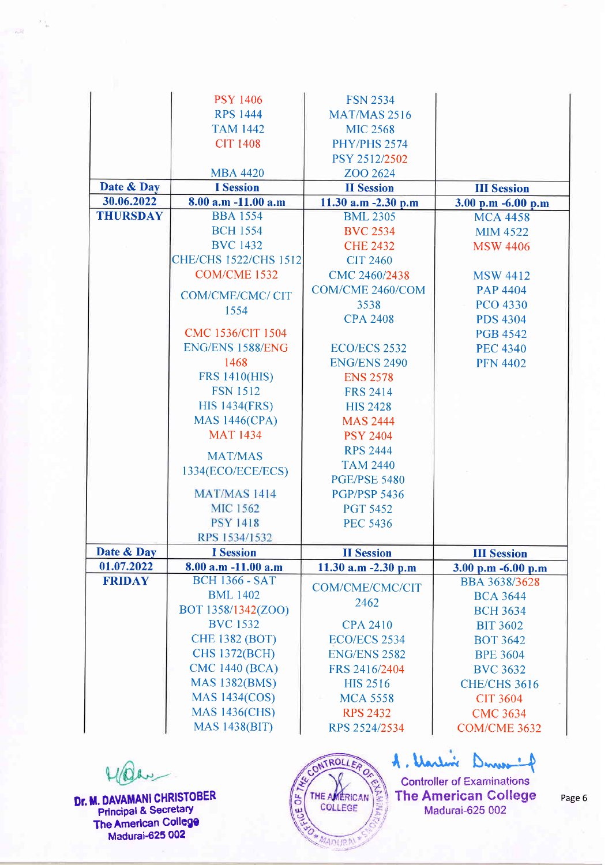|                 | <b>PSY 1406</b>              | <b>FSN 2534</b>        |                     |
|-----------------|------------------------------|------------------------|---------------------|
|                 | <b>RPS 1444</b>              | <b>MAT/MAS 2516</b>    |                     |
|                 | <b>TAM 1442</b>              | <b>MIC 2568</b>        |                     |
|                 | <b>CIT 1408</b>              | <b>PHY/PHS 2574</b>    |                     |
|                 |                              | PSY 2512/2502          |                     |
|                 | <b>MBA 4420</b>              | ZOO 2624               |                     |
| Date & Day      | <b>I</b> Session             | <b>II</b> Session      | <b>III Session</b>  |
| 30.06.2022      | 8.00 a.m -11.00 a.m          | 11.30 $a.m - 2.30 p.m$ | 3.00 p.m -6.00 p.m  |
| <b>THURSDAY</b> | <b>BBA 1554</b>              | <b>BML 2305</b>        | <b>MCA 4458</b>     |
|                 | <b>BCH 1554</b>              | <b>BVC 2534</b>        | <b>MIM 4522</b>     |
|                 | <b>BVC 1432</b>              | <b>CHE 2432</b>        | <b>MSW 4406</b>     |
|                 | <b>CHE/CHS 1522/CHS 1512</b> | <b>CIT 2460</b>        |                     |
|                 | COM/CME 1532                 | CMC 2460/2438          | <b>MSW 4412</b>     |
|                 | COM/CME/CMC/ CIT             | COM/CME 2460/COM       | <b>PAP 4404</b>     |
|                 | 1554                         | 3538                   | <b>PCO 4330</b>     |
|                 |                              | <b>CPA 2408</b>        | <b>PDS 4304</b>     |
|                 | CMC 1536/CIT 1504            |                        | <b>PGB 4542</b>     |
|                 | ENG/ENS 1588/ENG             | <b>ECO/ECS 2532</b>    | <b>PEC 4340</b>     |
|                 | 1468                         | <b>ENG/ENS 2490</b>    | <b>PFN 4402</b>     |
|                 | <b>FRS 1410(HIS)</b>         | <b>ENS 2578</b>        |                     |
|                 | <b>FSN 1512</b>              | <b>FRS 2414</b>        |                     |
|                 | <b>HIS 1434(FRS)</b>         | <b>HIS 2428</b>        |                     |
|                 | <b>MAS 1446(CPA)</b>         | <b>MAS 2444</b>        |                     |
|                 | <b>MAT 1434</b>              | <b>PSY 2404</b>        |                     |
|                 |                              | <b>RPS 2444</b>        |                     |
|                 | <b>MAT/MAS</b>               | <b>TAM 2440</b>        |                     |
|                 | 1334(ECO/ECE/ECS)            | <b>PGE/PSE 5480</b>    |                     |
|                 | <b>MAT/MAS 1414</b>          | <b>PGP/PSP 5436</b>    |                     |
|                 | <b>MIC 1562</b>              | <b>PGT 5452</b>        |                     |
|                 | <b>PSY 1418</b>              | <b>PEC 5436</b>        |                     |
|                 | RPS 1534/1532                |                        |                     |
| Date & Day      | <b>I</b> Session             | <b>II</b> Session      | <b>III Session</b>  |
| 01.07.2022      | 8.00 a.m -11.00 a.m          | 11.30 $a.m - 2.30 p.m$ | 3.00 p.m -6.00 p.m  |
| <b>FRIDAY</b>   | <b>BCH 1366 - SAT</b>        |                        | BBA 3638/3628       |
|                 | <b>BML 1402</b>              | <b>COM/CME/CMC/CIT</b> | <b>BCA 3644</b>     |
|                 | BOT 1358/1342(ZOO)           | 2462                   | <b>BCH 3634</b>     |
|                 | <b>BVC 1532</b>              | <b>CPA 2410</b>        | <b>BIT 3602</b>     |
|                 | <b>CHE 1382 (BOT)</b>        | ECO/ECS 2534           | <b>BOT 3642</b>     |
|                 | <b>CHS 1372(BCH)</b>         | <b>ENG/ENS 2582</b>    | <b>BPE 3604</b>     |
|                 | <b>CMC 1440 (BCA)</b>        | FRS 2416/2404          | <b>BVC 3632</b>     |
|                 | <b>MAS 1382(BMS)</b>         | <b>HIS 2516</b>        | <b>CHE/CHS 3616</b> |
|                 | <b>MAS 1434(COS)</b>         | <b>MCA 5558</b>        | <b>CIT 3604</b>     |
|                 | <b>MAS 1436(CHS)</b>         | <b>RPS 2432</b>        | <b>CMC 3634</b>     |
|                 |                              |                        |                     |
|                 | <b>MAS 1438(BIT)</b>         | RPS 2524/2534          | COM/CME 3632        |

Dr. M. DAVAMANI CHRISTOBER Principal & Secretary The American College Madurai-625 002

Madar

CONTROLLERO **COLLEGE** THE AMERICAN

A. Uarlin Dines 4 Controller of Examinations The American College Page 6 Madurai-625 002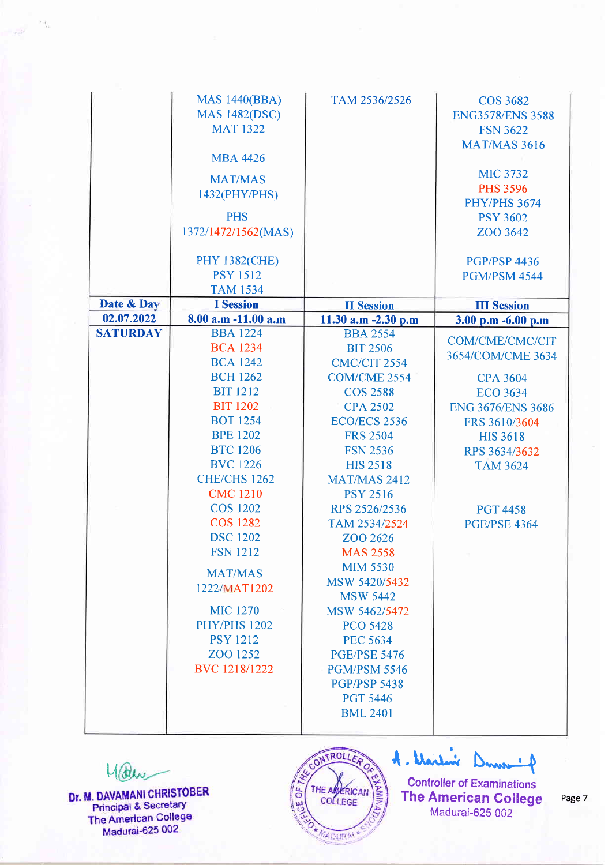|                 | <b>MAS 1440(BBA)</b><br><b>MAS 1482(DSC)</b><br><b>MAT 1322</b><br><b>MBA 4426</b><br><b>MAT/MAS</b><br>1432(PHY/PHS)<br><b>PHS</b><br>1372/1472/1562(MAS) | TAM 2536/2526                          | <b>COS 3682</b><br><b>ENG3578/ENS 3588</b><br><b>FSN 3622</b><br><b>MAT/MAS 3616</b><br><b>MIC 3732</b><br><b>PHS 3596</b><br><b>PHY/PHS 3674</b><br><b>PSY 3602</b><br>ZOO 3642 |
|-----------------|------------------------------------------------------------------------------------------------------------------------------------------------------------|----------------------------------------|----------------------------------------------------------------------------------------------------------------------------------------------------------------------------------|
|                 | <b>PHY 1382(CHE)</b>                                                                                                                                       |                                        | <b>PGP/PSP 4436</b>                                                                                                                                                              |
|                 | <b>PSY 1512</b>                                                                                                                                            |                                        | <b>PGM/PSM 4544</b>                                                                                                                                                              |
|                 | <b>TAM 1534</b>                                                                                                                                            |                                        |                                                                                                                                                                                  |
| Date & Day      | <b>I</b> Session                                                                                                                                           | <b>II</b> Session                      | <b>III Session</b>                                                                                                                                                               |
| 02.07.2022      | 8.00 a.m -11.00 a.m                                                                                                                                        | 11.30 a.m -2.30 p.m                    | 3.00 p.m -6.00 p.m                                                                                                                                                               |
| <b>SATURDAY</b> | <b>BBA 1224</b>                                                                                                                                            | <b>BBA 2554</b>                        | <b>COM/CME/CMC/CIT</b>                                                                                                                                                           |
|                 | <b>BCA 1234</b>                                                                                                                                            | <b>BIT 2506</b>                        | 3654/COM/CME 3634                                                                                                                                                                |
|                 | <b>BCA 1242</b>                                                                                                                                            | <b>CMC/CIT 2554</b>                    |                                                                                                                                                                                  |
|                 | <b>BCH 1262</b>                                                                                                                                            | <b>COM/CME 2554</b>                    | <b>CPA 3604</b>                                                                                                                                                                  |
|                 | <b>BIT 1212</b>                                                                                                                                            | <b>COS 2588</b>                        | <b>ECO 3634</b>                                                                                                                                                                  |
|                 | <b>BIT 1202</b>                                                                                                                                            | <b>CPA 2502</b>                        | <b>ENG 3676/ENS 3686</b>                                                                                                                                                         |
|                 | <b>BOT 1254</b>                                                                                                                                            | <b>ECO/ECS 2536</b>                    | FRS 3610/3604                                                                                                                                                                    |
|                 | <b>BPE 1202</b>                                                                                                                                            | <b>FRS 2504</b>                        | <b>HIS 3618</b>                                                                                                                                                                  |
|                 | <b>BTC 1206</b>                                                                                                                                            | <b>FSN 2536</b>                        | RPS 3634/3632                                                                                                                                                                    |
|                 | <b>BVC</b> 1226                                                                                                                                            | <b>HIS 2518</b>                        | <b>TAM 3624</b>                                                                                                                                                                  |
|                 | <b>CHE/CHS 1262</b>                                                                                                                                        | <b>MAT/MAS 2412</b>                    |                                                                                                                                                                                  |
|                 | <b>CMC 1210</b>                                                                                                                                            | <b>PSY 2516</b>                        |                                                                                                                                                                                  |
|                 | <b>COS 1202</b>                                                                                                                                            | RPS 2526/2536                          | <b>PGT 4458</b>                                                                                                                                                                  |
|                 | <b>COS 1282</b>                                                                                                                                            | TAM 2534/2524                          | <b>PGE/PSE 4364</b>                                                                                                                                                              |
|                 | <b>DSC 1202</b>                                                                                                                                            | ZOO 2626                               |                                                                                                                                                                                  |
|                 | <b>FSN 1212</b>                                                                                                                                            | <b>MAS 2558</b>                        |                                                                                                                                                                                  |
|                 | <b>MAT/MAS</b>                                                                                                                                             | <b>MIM 5530</b>                        |                                                                                                                                                                                  |
|                 | 1222/MAT1202                                                                                                                                               | MSW 5420/5432                          |                                                                                                                                                                                  |
|                 |                                                                                                                                                            | <b>MSW 5442</b>                        |                                                                                                                                                                                  |
|                 | <b>MIC 1270</b><br><b>PHY/PHS 1202</b>                                                                                                                     | MSW 5462/5472                          |                                                                                                                                                                                  |
|                 | <b>PSY 1212</b>                                                                                                                                            | <b>PCO 5428</b>                        |                                                                                                                                                                                  |
|                 |                                                                                                                                                            | <b>PEC 5634</b>                        |                                                                                                                                                                                  |
|                 | ZOO 1252                                                                                                                                                   | <b>PGE/PSE 5476</b>                    |                                                                                                                                                                                  |
|                 | BVC 1218/1222                                                                                                                                              | <b>PGM/PSM 5546</b>                    |                                                                                                                                                                                  |
|                 |                                                                                                                                                            | <b>PGP/PSP 5438</b><br><b>PGT 5446</b> |                                                                                                                                                                                  |
|                 |                                                                                                                                                            | <b>BML 2401</b>                        |                                                                                                                                                                                  |
|                 |                                                                                                                                                            |                                        |                                                                                                                                                                                  |

Malare

 $\Sigma_{\rm M}^{\rm p}$ 

Dr. M. DAVAMANI CHRISTOBER Principal & Secretary The American College Madurai-625 002



A. Unilis Denver of

**Controller of Examinations** The American College Page 7 Madurai-G25 002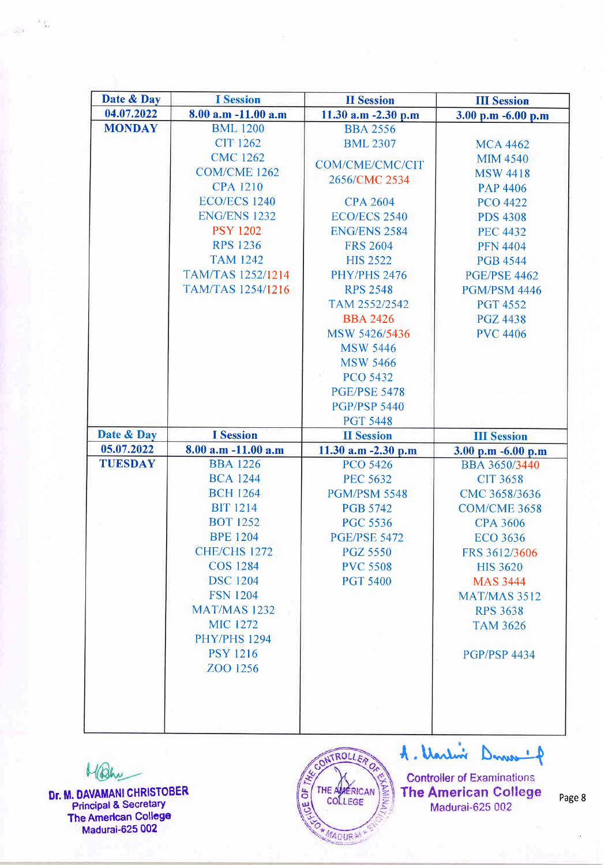| Date & Day     | <b>I</b> Session         | <b>II</b> Session      | <b>III Session</b>  |
|----------------|--------------------------|------------------------|---------------------|
| 04.07.2022     | $8.00$ a.m $-11.00$ a.m  | 11.30 $a.m - 2.30 p.m$ | 3.00 p.m -6.00 p.m  |
| <b>MONDAY</b>  | <b>BML</b> 1200          | <b>BBA 2556</b>        |                     |
|                | <b>CIT 1262</b>          | <b>BML 2307</b>        | <b>MCA 4462</b>     |
|                | <b>CMC 1262</b>          | COM/CME/CMC/CIT        | <b>MIM 4540</b>     |
|                | COM/CME 1262             | 2656/CMC 2534          | <b>MSW 4418</b>     |
|                | <b>CPA 1210</b>          |                        | <b>PAP 4406</b>     |
|                | <b>ECO/ECS 1240</b>      | <b>CPA 2604</b>        | <b>PCO 4422</b>     |
|                | <b>ENG/ENS 1232</b>      | <b>ECO/ECS 2540</b>    | <b>PDS 4308</b>     |
|                | <b>PSY 1202</b>          | <b>ENG/ENS 2584</b>    | <b>PEC 4432</b>     |
|                | <b>RPS 1236</b>          | <b>FRS 2604</b>        | <b>PFN 4404</b>     |
|                | <b>TAM 1242</b>          | <b>HIS 2522</b>        | <b>PGB 4544</b>     |
|                | <b>TAM/TAS 1252/1214</b> | <b>PHY/PHS 2476</b>    | <b>PGE/PSE 4462</b> |
|                | <b>TAM/TAS 1254/1216</b> | <b>RPS 2548</b>        | <b>PGM/PSM 4446</b> |
|                |                          | TAM 2552/2542          | <b>PGT 4552</b>     |
|                |                          | <b>BBA 2426</b>        | <b>PGZ 4438</b>     |
|                |                          | MSW 5426/5436          | <b>PVC 4406</b>     |
|                |                          | <b>MSW 5446</b>        |                     |
|                |                          | <b>MSW 5466</b>        |                     |
|                |                          | <b>PCO 5432</b>        |                     |
|                |                          | <b>PGE/PSE 5478</b>    |                     |
|                |                          | <b>PGP/PSP 5440</b>    |                     |
|                |                          | <b>PGT 5448</b>        |                     |
| Date & Day     | <b>I</b> Session         | <b>II</b> Session      | <b>III Session</b>  |
| 05.07.2022     | 8.00 a.m -11.00 a.m      | 11.30 a.m -2.30 p.m    | 3.00 p.m -6.00 p.m  |
| <b>TUESDAY</b> | <b>BBA 1226</b>          | <b>PCO 5426</b>        | BBA 3650/3440       |
|                | <b>BCA 1244</b>          | <b>PEC 5632</b>        | <b>CIT 3658</b>     |
|                | <b>BCH 1264</b>          | <b>PGM/PSM 5548</b>    | CMC 3658/3636       |
|                | <b>BIT 1214</b>          | <b>PGB 5742</b>        | <b>COM/CME 3658</b> |
|                | <b>BOT 1252</b>          | <b>PGC 5536</b>        | <b>CPA 3606</b>     |
|                | <b>BPE 1204</b>          | <b>PGE/PSE 5472</b>    | <b>ECO 3636</b>     |
|                | <b>CHE/CHS 1272</b>      | <b>PGZ 5550</b>        | FRS 3612/3606       |
|                | <b>COS 1284</b>          | <b>PVC 5508</b>        | <b>HIS 3620</b>     |
|                | <b>DSC 1204</b>          | <b>PGT 5400</b>        | <b>MAS 3444</b>     |
|                | <b>FSN 1204</b>          |                        | <b>MAT/MAS 3512</b> |
|                | <b>MAT/MAS 1232</b>      |                        | <b>RPS 3638</b>     |
|                | <b>MIC 1272</b>          |                        | <b>TAM 3626</b>     |
|                | <b>PHY/PHS 1294</b>      |                        |                     |
|                | <b>PSY 1216</b>          |                        | <b>PGP/PSP 4434</b> |
|                |                          |                        |                     |
|                | ZOO 1256                 |                        |                     |
|                |                          |                        |                     |
|                |                          |                        |                     |

Mahu

 $\mathcal{F}(\mathcal{X})$ 

Dr. M. DAVAMANI CHRISTOBER Principal & Secretary The American College Madurai-625 002



A. Unitive Denver of

Controller of Examinations The American College Madurai-625 002

Page 8